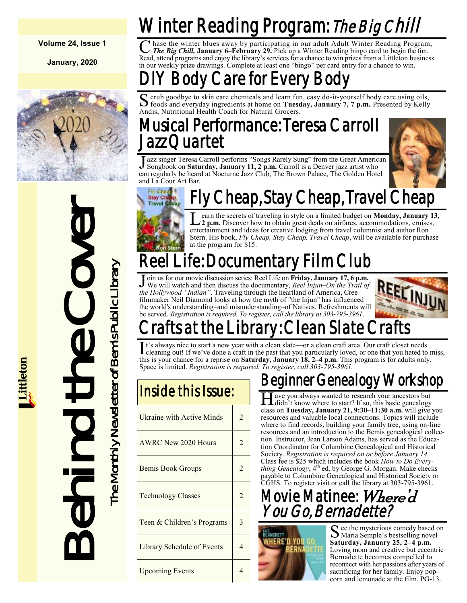**Volume 24, Issue 1**

**January, 2020**



# Behind the Cover he Monthly Newsletter of Bemis Public Library

The Monthly Newsletter of Bemis Public Library

# Winter Reading Program: *The Big Chill*

C hase the winter blues away by participating in our adult Adult Winter Reading Program<br> *The Big Chill, January 6–February 29.* Pick up a Winter Reading bingo card to begin the fun. hase the winter blues away by participating in our adult Adult Winter Reading Program, Read, attend programs and enjoy the library's services for a chance to win prizes from a Littleton business in our weekly prize drawings. Complete at least one "bingo" per card entry for a chance to win.

## Body Care for Every Bod

S crub goodbye to skin care chemicals and learn fun, easy do-it-yourself body care using oils, foods and everyday ingredients at home on **Tuesday, January 7, 7 p.m.** Presented by Kelly crub goodbye to skin care chemicals and learn fun, easy do-it-yourself body care using oils, Andis, Nutritional Health Coach for Natural Grocers.

## Musical Performance: Teresa Carroll Jazz Quartet

Jazz singer Teresa Carroll performs "Songs Rarely Sung" from the Great America<br>Songbook on **Saturday, January 11, 2 p.m.** Carroll is a Denver jazz artist who azz singer Teresa Carroll performs "Songs Rarely Sung" from the Great American can regularly be heard at Nocturne Jazz Club, The Brown Palace, The Golden Hotel and La Cour Art Bar.



#### Cheap, Stay Cheap, Travel Cheap **Elvi Chon Stay Chi**

Learn the secrets of traveling in style on a limited budget on **Monday**, January 13<br>22 p.m. Discover how to obtain great deals on airfares, accommodations, cruises, earn the secrets of traveling in style on a limited budget on **Monday, January 13,**  entertainment and ideas for creative lodging from travel columnist and author Ron Stern. His book, *Fly Cheap, Stay Cheap, Travel Cheap*, will be available for purchase at the program for \$15.

# Reel Life: Documentar

**J** oin us for our movie discussion series: Reel Life on Friday, January 17, 6 p We will watch and then discuss the documentary, *Reel Injun–On the Traithe Hollywood "Indian"*. Traveling through the heartland of America, C oin us for our movie discussion series: Reel Life on **Friday, January 17, 6 p.m.** We will watch and then discuss the documentary, *Reel Injun–On the Trail of*  filmmaker Neil Diamond looks at how the myth of "the Injun" has influenced the world's understanding–and misunderstanding–of Natives. Refreshments will be served. *Registration is required. To register, call the library at 303-795-3961*.



# afts at the Library: Clean Slate (

It's always nice to start a new year with a clean slate—or a clean craft area. Our craft closet needs<br>I cleaning out! If we've done a craft in the past that you particularly loved, or one that you hated to cleaning out! If we've done a craft in the past that you particularly loved, or one that you hated to miss, this is your chance for a reprise on **Saturday, January 18, 2–4 p.m.** This program is for adults only. Space is limited. *Registration is required. To register, call 303-795-3961.*

| Inside this Issue:               |                |  |
|----------------------------------|----------------|--|
| <b>Ukraine with Active Minds</b> | $\mathfrak{D}$ |  |
| AWRC New 2020 Hours              | $\mathfrak{D}$ |  |
| <b>Bemis Book Groups</b>         | $\overline{2}$ |  |
| <b>Technology Classes</b>        | $\overline{2}$ |  |
| Teen & Children's Programs       | 3              |  |
| Library Schedule of Events       | 4              |  |
| <b>Upcoming Events</b>           |                |  |

## Beginner Genealogy Workshop

H ave you always wanted to research your ancestors but<br>didn't know where to start? If so, this basic genealogy ave you always wanted to research your ancestors but class on **Tuesday, January 21, 9:30–11:30 a.m.** will give you resources and valuable local connections. Topics will include where to find records, building your family tree, using on-line resources and an introduction to the Bemis genealogical collection. Instructor, Jean Larson Adams, has served as the Education Coordinator for Columbine Genealogical and Historical Society. *Registration is required on or before January 14.*  Class fee is \$25 which includes the book *How to Do Everything Genealogy*, 4<sup>th</sup> ed. by George G. Morgan. Make checks payable to Columbine Genealogical and Historical Society or CGHS. To register visit or call the library at 303-795-3961.

## Movie Matinee: Where'd You Go, Bernadette?



See the mysterious comedy based on<br>
Maria Semple's bestselling novel Maria Semple's bestselling novel **Saturday, January 25, 2–4 p.m.** Loving mom and creative but eccentric Bernadette becomes compelled to reconnect with her passions after years of sacrificing for her family. Enjoy popcorn and lemonade at the film. PG-13.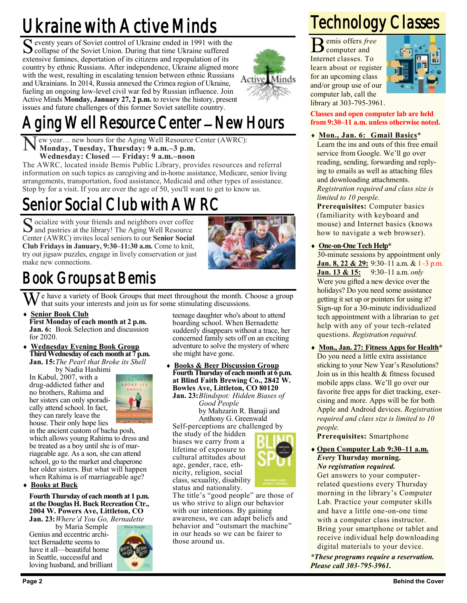# Ukraine with Active Minds

S eventy years of Soviet control of Ukraine ended in 1991 with the Collapse of the Soviet Union. During that time Ukraine suffered collapse of the Soviet Union. During that time Ukraine suffered extensive famines, deportation of its citizens and repopulation of its country by ethnic Russians. After independence, Ukraine aligned more with the west, resulting in escalating tension between ethnic Russians Active. and Ukrainians. In 2014, Russia annexed the Crimea region of Ukraine, fueling an ongoing low-level civil war fed by Russian influence. Join Active Minds **Monday, January 27, 2 p.m.** to review the history, present issues and future challenges of this former Soviet satellite country.



N ew year… new hours for the Aging Well Resource Center (AWRC): **Monday, Tuesday, Thursday: 9 a.m.–3 p.m. Wednesday: Closed — Friday: 9 a.m.–noon**

The AWRC, located inside Bemis Public Library, provides resources and referral information on such topics as caregiving and in-home assistance, Medicare, senior living arrangements, transportation, food assistance, Medicaid and other types of assistance. Stop by for a visit. If you are over the age of 50, you'll want to get to know us.

## Senior Social Club with AWRC

Socialize with your friends and neighbors over coffee and pastries at the library! The Aging Well Resource and pastries at the library! The Aging Well Resource Center (AWRC) invites local seniors to our **Senior Social Club Fridays in January, 9:30–11:30 a.m.** Come to knit, try out jigsaw puzzles, engage in lively conservation or just make new connections.



Minds

## Book Groups at Bemis

We have a variety of Book Groups that meet throughout the month. Choose a group that suits your interests and join us for some stimulating discussions.

- **Senior Book Club First Monday of each month at 2 p.m. Jan. 6:** Book Selection and discussion for 2020.
- **Wednesday Evening Book Group Third Wednesday of each month at 7 p.m. Jan. 15:***The Pearl that Broke its Shell*

by Nadia Hashimi

In Kabul, 2007, with a drug-addicted father and no brothers, Rahima and her sisters can only sporadically attend school. In fact, they can rarely leave the house. Their only hope lies



in the ancient custom of bacha posh, which allows young Rahima to dress and be treated as a boy until she is of marriageable age. As a son, she can attend school, go to the market and chaperone her older sisters. But what will happen when Rahima is of marriageable age?

**Books at Buck**

#### **Fourth Thursday of each month at 1 p.m. at the Douglas H. Buck Recreation Ctr., 2004 W. Powers Ave, Littleton, CO Jan. 23:***Where'd You Go, Bernadette*

by Maria Semple Genius and eccentric architect Bernadette seems to have it all—beautiful home in Seattle, successful and loving husband, and brilliant



teenage daughter who's about to attend boarding school. When Bernadette suddenly disappears without a trace, her concerned family sets off on an exciting adventure to solve the mystery of where she might have gone.

 **Books & Beer Discussion Group Fourth Thursday of each month at 6 p.m. at Blind Faith Brewing Co., 2842 W. Bowles Ave, Littleton, CO 80120 Jan. 23:***Blindspot: Hidden Biases of*

*Good People* by Mahzarin R. Banaji and Anthony G. Greenwald

Self-perceptions are challenged by the study of the hidden biases we carry from a lifetime of exposure to cultural attitudes about age, gender, race, ethnicity, religion, social class, sexuality, disability status and nationality.



The title's "good people" are those of us who strive to align our behavior with our intentions. By gaining awareness, we can adapt beliefs and behavior and "outsmart the machine" in our heads so we can be fairer to those around us.

## Technology Classes

 $\mathbf{B}$  emis offers frequence and emis offers *free*  Internet classes. To learn about or register for an upcoming class and/or group use of our computer lab, call the library at 303-795-3961.



**Classes and open computer lab are held from 9:30–11 a.m. unless otherwise noted.**

 **Mon., Jan. 6: Gmail Basics\*** Learn the ins and outs of this free email service from Google. We'll go over reading, sending, forwarding and replying to emails as well as attaching files and downloading attachments. *Registration required and class size is limited to 10 people.*

**Prerequisites:** Computer basics (familiarity with keyboard and mouse) and Internet basics (knows how to navigate a web browser).

#### **One-on-One Tech Help\***

30-minute sessions by appointment only **Jan. 8, 22 & 29:** 9:30–11 a.m. & 1–3 p.m. **Jan. 13 & 15:** 9:30–11 a.m. *only* Were you gifted a new device over the holidays? Do you need some assistance getting it set up or pointers for using it? Sign-up for a 30-minute individualized tech appointment with a librarian to get help with any of your tech-related questions. *Registration required.*

 **Mon., Jan. 27: Fitness Apps for Health\*** Do you need a little extra assistance sticking to your New Year's Resolutions? Join us in this health & fitness focused mobile apps class. We'll go over our favorite free apps for diet tracking, exercising and more. Apps will be for both Apple and Android devices. *Registration required and class size is limited to 10 people.*

**Prerequisites:** Smartphone

 **Open Computer Lab 9:30–11 a.m.** *Every* **Thursday morning.** *No registration required.*

Get answers to your computerrelated questions every Thursday morning in the library's Computer Lab. Practice your computer skills and have a little one-on-one time with a computer class instructor. Bring your smartphone or tablet and receive individual help downloading digital materials to your device.

*\*These programs require a reservation. Please call 303-795-3961.*

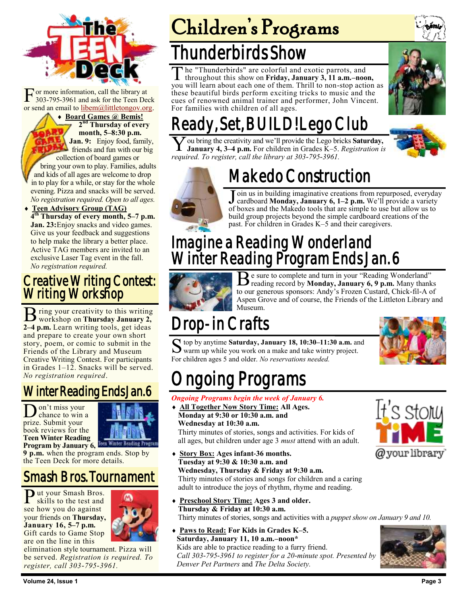

[F](https://bemis.libguides.com/teen-deck) or more information, call the library at 303-795-3961 and ask for the Teen Deck or send an email to [libem@littletongov.org.](mailto:libem@littletongov.org.)

 **Board Games @ Bemis! 2 nd Thursday of every month, 5–8:30 p.m. Jan. 9:** Enjoy food, family, friends and fun with our big collection of board games or bring your own to play. Families, adults and kids of all ages are welcome to drop in to play for a while, or stay for the whole evening. Pizza and snacks will be served. *No registration required. Open to all ages.*

 **Teen Advisory Group (TAG) 4 th Thursday of every month, 5–7 p.m. Jan. 23:**Enjoy snacks and video games. Give us your feedback and suggestions to help make the library a better place. Active TAG members are invited to an exclusive Laser Tag event in the fall. *No registration required.*

### Creative Writing Contest: Writing Workshop

B ring your creativity to this writing<br>workshop on Thursday January 2, workshop on **Thursday January 2, 2–4 p.m.** Learn writing tools, get ideas and prepare to create your own short story, poem, or comic to submit in the Friends of the Library and Museum Creative Writing Contest. For participants in Grades 1–12. Snacks will be served. *No registration required*.

## Winter Reading Ends Jan. 6

Don't miss your<br>prize. Submit your on't miss your chance to win a book reviews for the **Teen Winter Reading Program by January 6, Item Winter Beading Pro** 



**9 p.m.** when the program ends. Stop by the Teen Deck for more details.

## Smash Bros. Tournament

Put your Smash Bros.<br>
skills to the test and skills to the test and see how you do against your friends on **Thursday, January 16, 5–7 p.m.**  Gift cards to Game Stop are on the line in this



elimination style tournament. Pizza will be served. *Registration is required. To register, call 303-795-3961.*

# Children's Programs

## Thunderbirds Show

The "Thunderbirds" are colorful and exotic parrots, and<br>throughout this show on Friday, January 3, 11 a.m.–noon,<br>you will learn about each one of them. Thrill to non-stop action as he "Thunderbirds" are colorful and exotic parrots, and throughout this show on **Friday, January 3, 11 a.m.–noon,**  these beautiful birds perform exciting tricks to music and the cues of renowned animal trainer and performer, John Vincent. For families with children of all ages.



## Ready, Set, BUILD! Lego Club

Y ou bring the creativity and we'll provide the Lego bricks **Saturday,**<br>January 4, 3–4 p.m. For children in Grades K–5. *Registration is* ou bring the creativity and we'll provide the Lego bricks **Saturday,** *required. To register, call the library at 303-795-3961.*





## Makedo Construction

Join us in building imaginative creations from repurposed, everyda cardboard Monday, January 6, 1–2 p.m. We'll provide a variety of boxes and the Makedo tools that are simple to use but allow us to oin us in building imaginative creations from repurposed, everyday cardboard **Monday, January 6, 1–2 p.m.** We'll provide a variety build group projects beyond the simple cardboard creations of the past. For children in Grades K–5 and their caregivers.

## Imagine a Reading Wonderland Winter Reading Program Ends Jan. 6



Be sure to complete and turn in your "Reading Wonderland" reading record by **Monday, January 6, 9 p.m.** Many thanks e sure to complete and turn in your "Reading Wonderland" to our generous sponsors: Andy's Frozen Custard, Chick-fil-A of Aspen Grove and of course, the Friends of the Littleton Library and Museum.

## Drop-in Crafts

S top by anytime Saturday, January 18, 10:30–11:30 a.m. and warm up while you work on a make and take wintry project. top by anytime **Saturday, January 18, 10:30–11:30 a.m.** and For children ages 5 and older. *No reservations needed.*



# ngoing Programs

#### *Ongoing Programs begin the week of January 6.*

 **All Together Now Story Time: All Ages. Monday at 9:30 or 10:30 a.m. and Wednesday at 10:30 a.m.**

Thirty minutes of stories, songs and activities. For kids of all ages, but children under age 3 *must* attend with an adult.

- **Story Box: Ages infant-36 months. Tuesday at 9:30 & 10:30 a.m. and Wednesday, Thursday & Friday at 9:30 a.m.** Thirty minutes of stories and songs for children and a caring adult to introduce the joys of rhythm, rhyme and reading.
- **Preschool Story Time: Ages 3 and older. Thursday & Friday at 10:30 a.m.** Thirty minutes of stories, songs and activities with a *puppet show on January 9 and 10.*
- **Paws to Read: For Kids in Grades K–5. Saturday, January 11, 10 a.m.–noon\*** Kids are able to practice reading to a furry friend. *Call 303-795-3961 to register for a 20-minute spot. Presented by Denver Pet Partners* and *The Delta Society.*